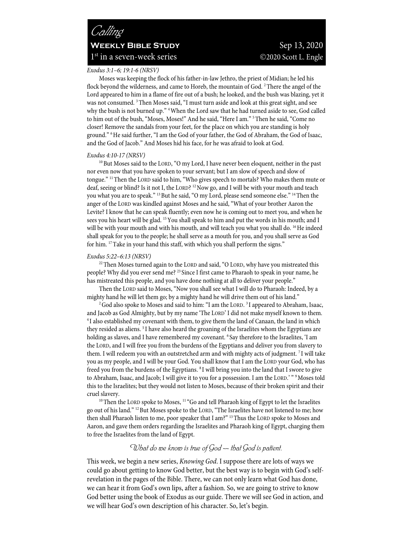# *Calling* **WEEKLY BIBLE STUDY** Sep 13, 2020  $1<sup>st</sup>$  in a seven-week series  $\odot$ 2020 Scott L. Engle

#### *Exodus 3:1–6; 19:1-6 (NRSV)*

Moses was keeping the flock of his father-in-law Jethro, the priest of Midian; he led his flock beyond the wilderness, and came to Horeb, the mountain of God. <sup>2</sup> There the angel of the Lord appeared to him in a flame of fire out of a bush; he looked, and the bush was blazing, yet it was not consumed. 3 Then Moses said, "I must turn aside and look at this great sight, and see why the bush is not burned up." 4 When the Lord saw that he had turned aside to see, God called to him out of the bush, "Moses, Moses!" And he said, "Here I am." 5 Then he said, "Come no closer! Remove the sandals from your feet, for the place on which you are standing is holy ground." 6 He said further, "I am the God of your father, the God of Abraham, the God of Isaac, and the God of Jacob." And Moses hid his face, for he was afraid to look at God.

#### *Exodus 4:10-17 (NRSV)*

<sup>10</sup> But Moses said to the LORD, "O my Lord, I have never been eloquent, neither in the past nor even now that you have spoken to your servant; but I am slow of speech and slow of tongue." 11Then the LORD said to him, "Who gives speech to mortals? Who makes them mute or deaf, seeing or blind? Is it not I, the LORD? <sup>12</sup> Now go, and I will be with your mouth and teach you what you are to speak." <sup>13</sup> But he said, "O my Lord, please send someone else." <sup>14</sup> Then the anger of the LORD was kindled against Moses and he said, "What of your brother Aaron the Levite? I know that he can speak fluently; even now he is coming out to meet you, and when he sees you his heart will be glad. 15You shall speak to him and put the words in his mouth; and I will be with your mouth and with his mouth, and will teach you what you shall do. <sup>16</sup>He indeed shall speak for you to the people; he shall serve as a mouth for you, and you shall serve as God for him. 17Take in your hand this staff, with which you shall perform the signs."

#### *Exodus 5:22–6:13 (NRSV)*

 $22$ <sup>22</sup> Then Moses turned again to the LORD and said, "O LORD, why have you mistreated this people? Why did you ever send me? 23 Since I first came to Pharaoh to speak in your name, he has mistreated this people, and you have done nothing at all to deliver your people."

Then the LORD said to Moses, "Now you shall see what I will do to Pharaoh: Indeed, by a mighty hand he will let them go; by a mighty hand he will drive them out of his land."<br><sup>2</sup>God also spoke to Moses and said to him: "I am the LORD. <sup>3</sup>I appeared to Abraham, Isaac,

and Jacob as God Almighty, but by my name 'The LORD' I did not make myself known to them.<br><sup>4</sup> I also established my covenant with them, to give them the land of Canaan, the land in which they resided as aliens.<sup>5</sup> I have also heard the groaning of the Israelites whom the Egyptians are holding as slaves, and I have remembered my covenant. <sup>6</sup> Say therefore to the Israelites, 'I am the LORD, and I will free you from the burdens of the Egyptians and deliver you from slavery to them. I will redeem you with an outstretched arm and with mighty acts of judgment. 7 I will take you as my people, and I will be your God. You shall know that I am the LORD your God, who has freed you from the burdens of the Egyptians. 8 I will bring you into the land that I swore to give to Abraham, Isaac, and Jacob; I will give it to you for a possession. I am the LORD.' " <sup>9</sup> Moses told this to the Israelites; but they would not listen to Moses, because of their broken spirit and their cruel slavery.<br><sup>10</sup>Then the LORD spoke to Moses, <sup>11</sup> "Go and tell Pharaoh king of Egypt to let the Israelites

go out of his land." 12But Moses spoke to the LORD, "The Israelites have not listened to me; how then shall Pharaoh listen to me, poor speaker that I am?" 13Thus the LORD spoke to Moses and Aaron, and gave them orders regarding the Israelites and Pharaoh king of Egypt, charging them to free the Israelites from the land of Egypt.

# *What do we know is true of God -- that God is patient.*

This week, we begin a new series, *Knowing God*. I suppose there are lots of ways we could go about getting to know God better, but the best way is to begin with God's selfrevelation in the pages of the Bible. There, we can not only learn what God has done, we can hear it from God's own lips, after a fashion. So, we are going to strive to know God better using the book of Exodus as our guide. There we will see God in action, and we will hear God's own description of his character. So, let's begin.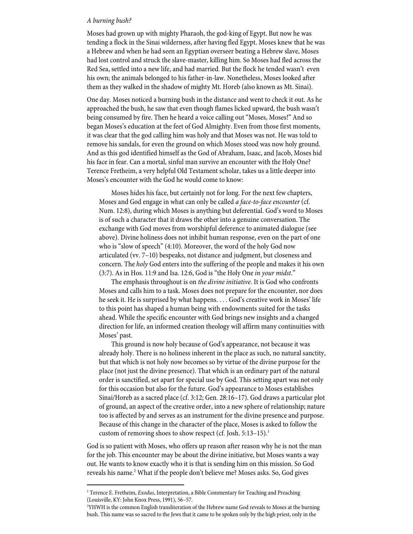# *A burning bush?*

Moses had grown up with mighty Pharaoh, the god-king of Egypt. But now he was tending a flock in the Sinai wilderness, after having fled Egypt. Moses knew that he was a Hebrew and when he had seen an Egyptian overseer beating a Hebrew slave, Moses had lost control and struck the slave-master, killing him. So Moses had fled across the Red Sea, settled into a new life, and had married. But the flock he tended wasn't even his own; the animals belonged to his father-in-law. Nonetheless, Moses looked after them as they walked in the shadow of mighty Mt. Horeb (also known as Mt. Sinai).

One day. Moses noticed a burning bush in the distance and went to check it out. As he approached the bush, he saw that even though flames licked upward, the bush wasn't being consumed by fire. Then he heard a voice calling out "Moses, Moses!" And so began Moses's education at the feet of God Almighty. Even from those first moments, it was clear that the god calling him was holy and that Moses was not. He was told to remove his sandals, for even the ground on which Moses stood was now holy ground. And as this god identified himself as the God of Abraham, Isaac, and Jacob, Moses hid his face in fear. Can a mortal, sinful man survive an encounter with the Holy One? Terence Fretheim, a very helpful Old Testament scholar, takes us a little deeper into Moses's encounter with the God he would come to know:

Moses hides his face, but certainly not for long. For the next few chapters, Moses and God engage in what can only be called *a face-to-face encounter* (cf. Num. 12:8), during which Moses is anything but deferential. God's word to Moses is of such a character that it draws the other into a genuine conversation. The exchange with God moves from worshipful deference to animated dialogue (see above). Divine holiness does not inhibit human response, even on the part of one who is "slow of speech" (4:10). Moreover, the word of the holy God now articulated (vv. 7–10) bespeaks, not distance and judgment, but closeness and concern. The *holy* God enters into the suffering of the people and makes it his own (3:7). As in Hos. 11:9 and Isa. 12:6, God is "the Holy One *in your midst*."

The emphasis throughout is on *the divine initiative*. It is God who confronts Moses and calls him to a task. Moses does not prepare for the encounter, nor does he seek it. He is surprised by what happens. . . . God's creative work in Moses' life to this point has shaped a human being with endowments suited for the tasks ahead. While the specific encounter with God brings new insights and a changed direction for life, an informed creation theology will affirm many continuities with Moses' past.

This ground is now holy because of God's appearance, not because it was already holy. There is no holiness inherent in the place as such, no natural sanctity, but that which is not holy now becomes so by virtue of the divine purpose for the place (not just the divine presence). That which is an ordinary part of the natural order is sanctified, set apart for special use by God. This setting apart was not only for this occasion but also for the future. God's appearance to Moses establishes Sinai/Horeb as a sacred place (cf. 3:12; Gen. 28:16–17). God draws a particular plot of ground, an aspect of the creative order, into a new sphere of relationship; nature too is affected by and serves as an instrument for the divine presence and purpose. Because of this change in the character of the place, Moses is asked to follow the custom of removing shoes to show respect (cf. Josh. 5:13–15).<sup>1</sup>

God is so patient with Moses, who offers up reason after reason why he is not the man for the job. This encounter may be about the divine initiative, but Moses wants a way out. He wants to know exactly who it is that is sending him on this mission. So God reveals his name.<sup>2</sup> What if the people don't believe me? Moses asks. So, God gives

<sup>&</sup>lt;sup>1</sup> Terence E. Fretheim, *Exodus*, Interpretation, a Bible Commentary for Teaching and Preaching (Louisville, KY: John Knox Press, 1991), 56–57.

<sup>2</sup> YHWH is the common English transliteration of the Hebrew name God reveals to Moses at the burning bush. This name was so sacred to the Jews that it came to be spoken only by the high priest, only in the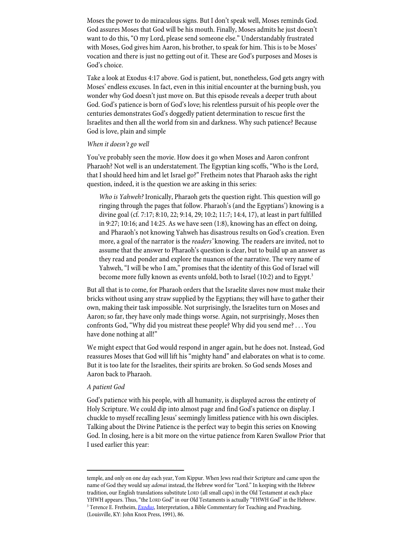Moses the power to do miraculous signs. But I don't speak well, Moses reminds God. God assures Moses that God will be his mouth. Finally, Moses admits he just doesn't want to do this, "O my Lord, please send someone else." Understandably frustrated with Moses, God gives him Aaron, his brother, to speak for him. This is to be Moses' vocation and there is just no getting out of it. These are God's purposes and Moses is God's choice.

Take a look at Exodus 4:17 above. God is patient, but, nonetheless, God gets angry with Moses' endless excuses. In fact, even in this initial encounter at the burning bush, you wonder why God doesn't just move on. But this episode reveals a deeper truth about God. God's patience is born of God's love; his relentless pursuit of his people over the centuries demonstrates God's doggedly patient determination to rescue first the Israelites and then all the world from sin and darkness. Why such patience? Because God is love, plain and simple

## *When it doesn't go well*

You've probably seen the movie. How does it go when Moses and Aaron confront Pharaoh? Not well is an understatement. The Egyptian king scoffs, "Who is the Lord, that I should heed him and let Israel go?" Fretheim notes that Pharaoh asks the right question, indeed, it is the question we are asking in this series:

*Who is Yahweh?* Ironically, Pharaoh gets the question right. This question will go ringing through the pages that follow. Pharaoh's (and the Egyptians') knowing is a divine goal (cf. 7:17; 8:10, 22; 9:14, 29; 10:2; 11:7; 14:4, 17), at least in part fulfilled in 9:27; 10:16; and 14:25. As we have seen (1:8), knowing has an effect on doing, and Pharaoh's not knowing Yahweh has disastrous results on God's creation. Even more, a goal of the narrator is the *readers'* knowing. The readers are invited, not to assume that the answer to Pharaoh's question is clear, but to build up an answer as they read and ponder and explore the nuances of the narrative. The very name of Yahweh, "I will be who I am," promises that the identity of this God of Israel will become more fully known as events unfold, both to Israel (10:2) and to Egypt.<sup>3</sup>

But all that is to come, for Pharaoh orders that the Israelite slaves now must make their bricks without using any straw supplied by the Egyptians; they will have to gather their own, making their task impossible. Not surprisingly, the Israelites turn on Moses and Aaron; so far, they have only made things worse. Again, not surprisingly, Moses then confronts God, "Why did you mistreat these people? Why did you send me? . . . You have done nothing at all!"

We might expect that God would respond in anger again, but he does not. Instead, God reassures Moses that God will lift his "mighty hand" and elaborates on what is to come. But it is too late for the Israelites, their spirits are broken. So God sends Moses and Aaron back to Pharaoh.

#### *A patient God*

God's patience with his people, with all humanity, is displayed across the entirety of Holy Scripture. We could dip into almost page and find God's patience on display. I chuckle to myself recalling Jesus' seemingly limitless patience with his own disciples. Talking about the Divine Patience is the perfect way to begin this series on Knowing God. In closing, here is a bit more on the virtue patience from Karen Swallow Prior that I used earlier this year:

temple, and only on one day each year, Yom Kippur. When Jews read their Scripture and came upon the name of God they would say *adonai* instead, the Hebrew word for "Lord." In keeping with the Hebrew tradition, our English translations substitute LORD (all small caps) in the Old Testament at each place YHWH appears. Thus, "the LORD God" in our Old Testaments is actually "YHWH God" in the Hebrew. <sup>3</sup> Terence E. Fretheim, *Exodus*, Interpretation, a Bible Commentary for Teaching and Preaching, (Louisville, KY: John Knox Press, 1991), 86.